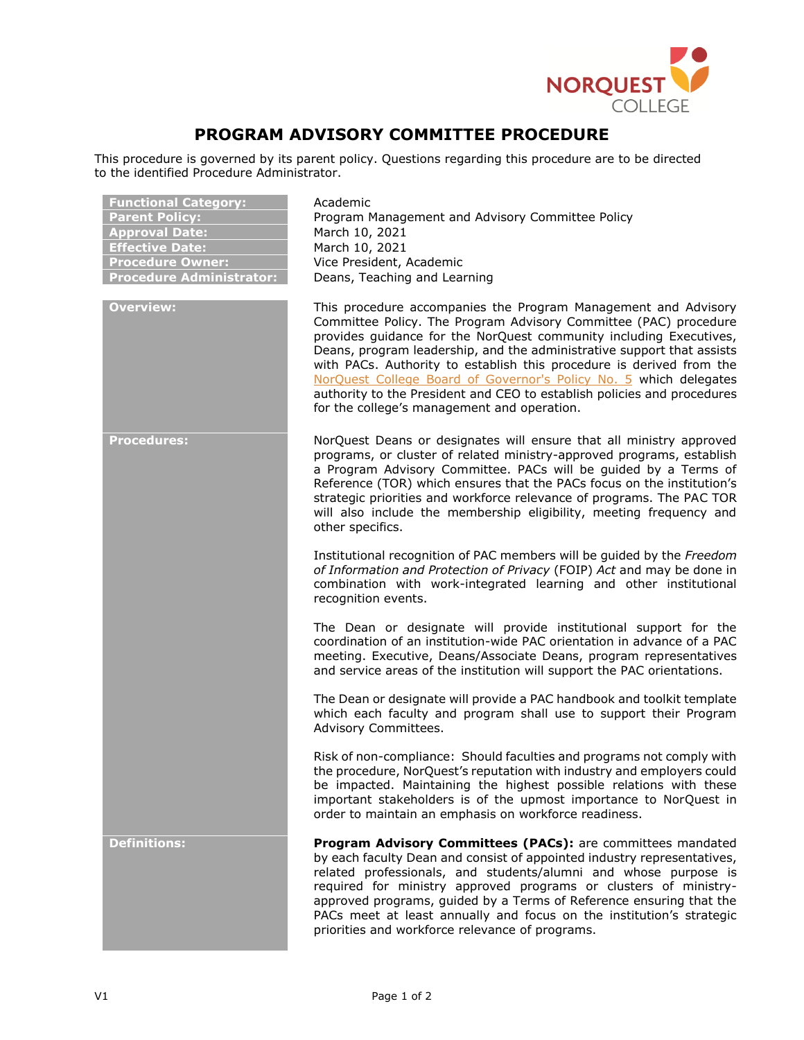

## **PROGRAM ADVISORY COMMITTEE PROCEDURE**

This procedure is governed by its parent policy. Questions regarding this procedure are to be directed to the identified Procedure Administrator.

| <b>Functional Category:</b><br><b>Parent Policy:</b><br><b>Approval Date:</b><br><b>Effective Date:</b><br><b>Procedure Owner:</b><br><b>Procedure Administrator:</b> | Academic<br>Program Management and Advisory Committee Policy<br>March 10, 2021<br>March 10, 2021<br>Vice President, Academic<br>Deans, Teaching and Learning                                                                                                                                                                                                                                                                                                                                                                                              |
|-----------------------------------------------------------------------------------------------------------------------------------------------------------------------|-----------------------------------------------------------------------------------------------------------------------------------------------------------------------------------------------------------------------------------------------------------------------------------------------------------------------------------------------------------------------------------------------------------------------------------------------------------------------------------------------------------------------------------------------------------|
| <b>Overview:</b>                                                                                                                                                      | This procedure accompanies the Program Management and Advisory<br>Committee Policy. The Program Advisory Committee (PAC) procedure<br>provides guidance for the NorQuest community including Executives,<br>Deans, program leadership, and the administrative support that assists<br>with PACs. Authority to establish this procedure is derived from the<br>NorQuest College Board of Governor's Policy No. 5 which delegates<br>authority to the President and CEO to establish policies and procedures<br>for the college's management and operation. |
| <b>Procedures:</b>                                                                                                                                                    | NorQuest Deans or designates will ensure that all ministry approved<br>programs, or cluster of related ministry-approved programs, establish<br>a Program Advisory Committee. PACs will be guided by a Terms of<br>Reference (TOR) which ensures that the PACs focus on the institution's<br>strategic priorities and workforce relevance of programs. The PAC TOR<br>will also include the membership eligibility, meeting frequency and<br>other specifics.                                                                                             |
|                                                                                                                                                                       | Institutional recognition of PAC members will be guided by the Freedom<br>of Information and Protection of Privacy (FOIP) Act and may be done in<br>combination with work-integrated learning and other institutional<br>recognition events.                                                                                                                                                                                                                                                                                                              |
|                                                                                                                                                                       | The Dean or designate will provide institutional support for the<br>coordination of an institution-wide PAC orientation in advance of a PAC<br>meeting. Executive, Deans/Associate Deans, program representatives<br>and service areas of the institution will support the PAC orientations.                                                                                                                                                                                                                                                              |
|                                                                                                                                                                       | The Dean or designate will provide a PAC handbook and toolkit template<br>which each faculty and program shall use to support their Program<br>Advisory Committees.                                                                                                                                                                                                                                                                                                                                                                                       |
|                                                                                                                                                                       | Risk of non-compliance: Should faculties and programs not comply with<br>the procedure, NorQuest's reputation with industry and employers could<br>be impacted. Maintaining the highest possible relations with these<br>important stakeholders is of the upmost importance to NorQuest in<br>order to maintain an emphasis on workforce readiness.                                                                                                                                                                                                       |
| <b>Definitions:</b>                                                                                                                                                   | Program Advisory Committees (PACs): are committees mandated<br>by each faculty Dean and consist of appointed industry representatives,<br>related professionals, and students/alumni and whose purpose is<br>required for ministry approved programs or clusters of ministry-<br>approved programs, guided by a Terms of Reference ensuring that the<br>PACs meet at least annually and focus on the institution's strategic<br>priorities and workforce relevance of programs.                                                                           |